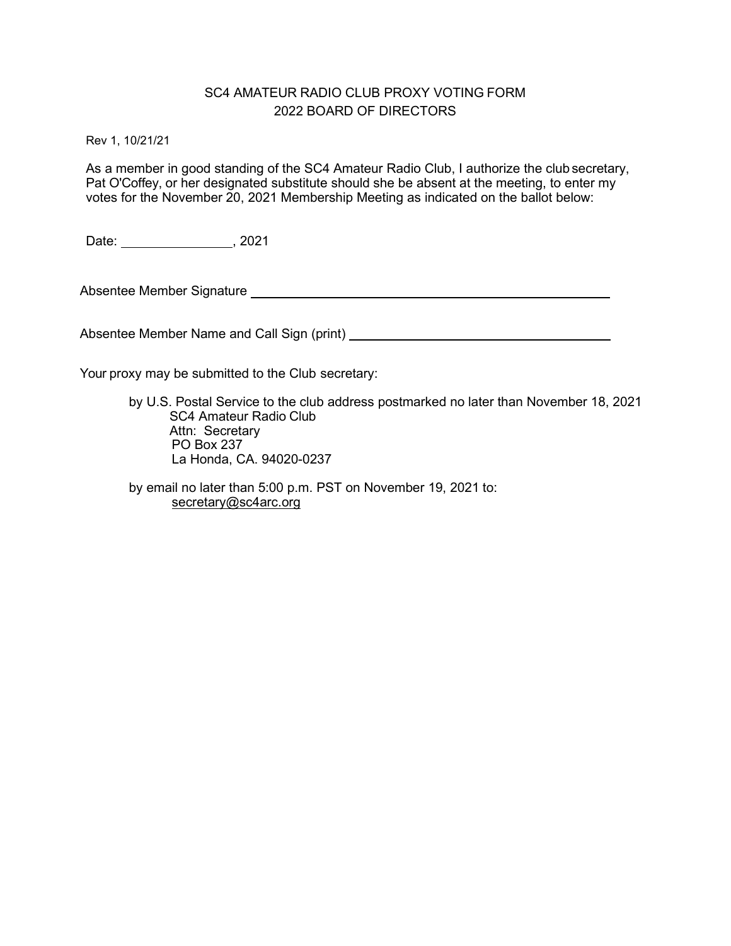## SC4 AMATEUR RADIO CLUB PROXY VOTING FORM 2022 BOARD OF DIRECTORS

Rev 1, 10/21/21

As a member in good standing of the SC4 Amateur Radio Club, I authorize the club secretary, Pat O'Coffey, or her designated substitute should she be absent at the meeting, to enter my votes for the November 20, 2021 Membership Meeting as indicated on the ballot below:

Date: 1, 2021

Absentee Member Signature

Absentee Member Name and Call Sign (print)

Your proxy may be submitted to the Club secretary:

by U.S. Postal Service to the club address postmarked no later than November 18, 2021 SC4 Amateur Radio Club Attn: Secretary PO Box 237 La Honda, CA. 94020-0237

by email no later than 5:00 p.m. PST on November 19, 2021 to: [secretary@sc4arc.org](mailto:secretary@sc4arc.org)